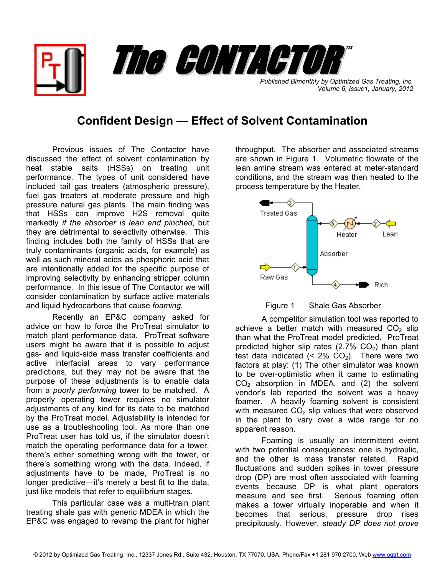*Published Bimonthly by Optimized Gas Treating, Inc. Volume 6, Issue1, January, 2012* The CONTACTOR

## **Confident Design — Effect of Solvent Contamination**

Previous issues of The Contactor have discussed the effect of solvent contamination by heat stable salts (HSSs) on treating unit performance. The types of unit considered have included tail gas treaters (atmospheric pressure), fuel gas treaters at moderate pressure and high pressure natural gas plants. The main finding was that HSSs can improve H2S removal quite markedly *if the absorber is lean end pinched*, but they are detrimental to selectivity otherwise. This finding includes both the family of HSSs that are truly contaminants (organic acids, for example) as well as such mineral acids as phosphoric acid that are intentionally added for the specific purpose of improving selectivity by enhancing stripper column performance. In this issue of The Contactor we will consider contamination by surface active materials and liquid hydrocarbons that cause *foaming*.

Recently an EP&C company asked for advice on how to force the ProTreat simulator to match plant performance data. ProTreat software users might be aware that it is possible to adjust gas- and liquid-side mass transfer coefficients and active interfacial areas to vary performance predictions, but they may not be aware that the purpose of these adjustments is to enable data from a *poorly performing* tower to be matched. A properly operating tower requires no simulator adjustments of any kind for its data to be matched by the ProTreat model. Adjustability is intended for use as a troubleshooting tool. As more than one ProTreat user has told us, if the simulator doesn't match the operating performance data for a tower, there's either something wrong with the tower, or there's something wrong with the data. Indeed, if adjustments have to be made, ProTreat is no longer predictive—it's merely a best fit to the data, just like models that refer to equilibrium stages.

This particular case was a multi-train plant treating shale gas with generic MDEA in which the EP&C was engaged to revamp the plant for higher

throughput. The absorber and associated streams are shown in Figure 1. Volumetric flowrate of the lean amine stream was entered at meter-standard conditions, and the stream was then heated to the process temperature by the Heater.

™





A competitor simulation tool was reported to achieve a better match with measured  $CO<sub>2</sub>$  slip than what the ProTreat model predicted. ProTreat predicted higher slip rates  $(2.7\% \text{ CO}_2)$  than plant test data indicated  $(< 2\%$  CO<sub>2</sub>). There were two factors at play: (1) The other simulator was known to be over-optimistic when it came to estimating  $CO<sub>2</sub>$  absorption in MDEA, and (2) the solvent vendor's lab reported the solvent was a heavy foamer. A heavily foaming solvent is consistent with measured  $CO<sub>2</sub>$  slip values that were observed in the plant to vary over a wide range for no apparent reason.

Foaming is usually an intermittent event with two potential consequences: one is hydraulic, and the other is mass transfer related. Rapid fluctuations and sudden spikes in tower pressure drop (DP) are most often associated with foaming events because DP is what plant operators measure and see first. Serious foaming often makes a tower virtually inoperable and when it becomes that serious, pressure drop rises precipitously. However, *steady DP does not prove*